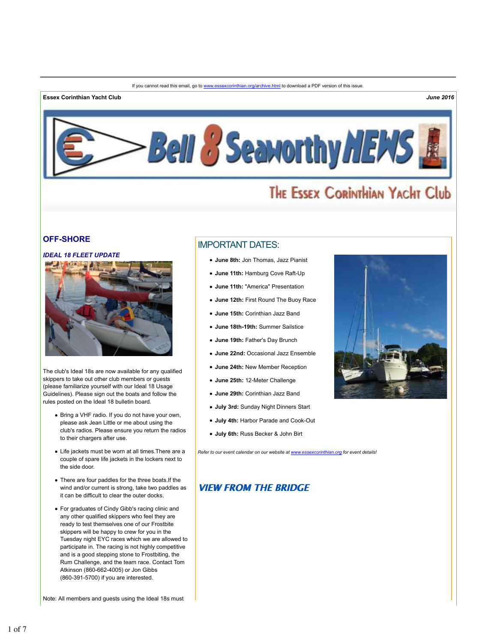#### **Essex Corinthian Yacht Club** *June 2016*



# THE ESSEX CORINTHIAN YACHT Club

### **OFF-SHORE**

### *IDEAL 18 FLEET UPDATE*



The club's Ideal 18s are now available for any qualified skippers to take out other club members or guests (please familiarize yourself with our Ideal 18 Usage Guidelines). Please sign out the boats and follow the rules posted on the Ideal 18 bulletin board.

- Bring a VHF radio. If you do not have your own, please ask Jean Little or me about using the club's radios. Please ensure you return the radios to their chargers after use.
- Life jackets must be worn at all times.There are a couple of spare life jackets in the lockers next to the side door.
- There are four paddles for the three boats.If the wind and/or current is strong, take two paddles as it can be difficult to clear the outer docks.
- For graduates of Cindy Gibb's racing clinic and any other qualified skippers who feel they are ready to test themselves one of our Frostbite skippers will be happy to crew for you in the Tuesday night EYC races which we are allowed to participate in. The racing is not highly competitive and is a good stepping stone to Frostbiting, the Rum Challenge, and the team race. Contact Tom Atkinson (860-662-4005) or Jon Gibbs (860-391-5700) if you are interested.

Note: All members and guests using the Ideal 18s must

# IMPORTANT DATES:

- **June 8th:** Jon Thomas, Jazz Pianist
- **June 11th:** Hamburg Cove Raft-Up
- **June 11th:** "America" Presentation
- **June 12th:** First Round The Buoy Race
- **June 15th:** Corinthian Jazz Band
- **June 18th-19th:** Summer Sailstice
- **June 19th:** Father's Day Brunch
- **June 22nd:** Occasional Jazz Ensemble
- **June 24th:** New Member Reception
- **June 25th:** 12-Meter Challenge
- **June 29th:** Corinthian Jazz Band
- **July 3rd:** Sunday Night Dinners Start
- **July 4th:** Harbor Parade and Cook-Out
- **July 6th:** Russ Becker & John Birt

*Refer to our event calendar on our website at www.essexcorinthian.org for event details!*

### **VIEW FROM THE BRIDGE**

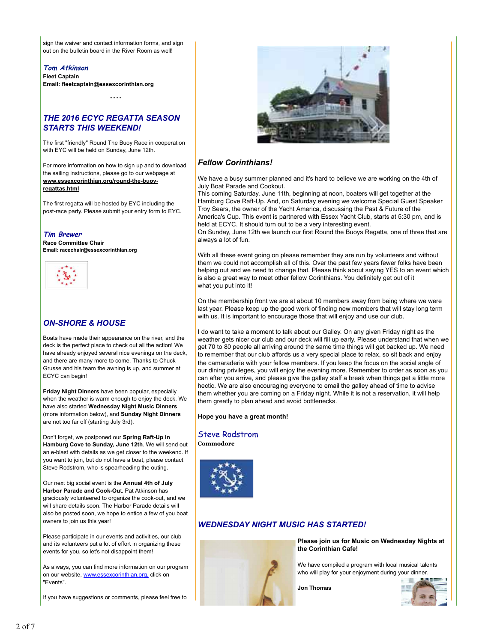sign the waiver and contact information forms, and sign out on the bulletin board in the River Room as well!

**Tom Atkinson Fleet Captain Email: fleetcaptain@essexcorinthian.org**

\* \* \* \*

# *THE 2016 ECYC REGATTA SEASON STARTS THIS WEEKEND!*

The first "friendly" Round The Buoy Race in cooperation with EYC will be held on Sunday, June 12th.

For more information on how to sign up and to download the sailing instructions, please go to our webpage at **www.essexcorinthian.org/round-the-buoyregattas.html**

The first regatta will be hosted by EYC including the post-race party. Please submit your entry form to EYC.

### **Tim Brewer**

**Race Committee Chair Email: racechair@essexcorinthian.org**



# *ON-SHORE & HOUSE*

Boats have made their appearance on the river, and the deck is the perfect place to check out all the action! We have already enjoyed several nice evenings on the deck, and there are many more to come. Thanks to Chuck Grusse and his team the awning is up, and summer at ECYC can begin!

**Friday Night Dinners** have been popular, especially when the weather is warm enough to enjoy the deck. We have also started **Wednesday Night Music Dinners** (more information below), and **Sunday Night Dinners** are not too far off (starting July 3rd).

Don't forget, we postponed our **Spring Raft-Up in Hamburg Cove to Sunday, June 12th**. We will send out an e-blast with details as we get closer to the weekend. If you want to join, but do not have a boat, please contact Steve Rodstrom, who is spearheading the outing.

Our next big social event is the **Annual 4th of July Harbor Parade and Cook-Ou**t. Pat Atkinson has graciously volunteered to organize the cook-out, and we will share details soon. The Harbor Parade details will also be posted soon, we hope to entice a few of you boat owners to join us this year!

Please participate in our events and activities, our club and its volunteers put a lot of effort in organizing these events for you, so let's not disappoint them!

As always, you can find more information on our program on our website, www.essexcorinthian.org, click on "Events".

If you have suggestions or comments, please feel free to



# *Fellow Corinthians!*

We have a busy summer planned and it's hard to believe we are working on the 4th of July Boat Parade and Cookout.

This coming Saturday, June 11th, beginning at noon, boaters will get together at the Hamburg Cove Raft-Up. And, on Saturday evening we welcome Special Guest Speaker Troy Sears, the owner of the Yacht America, discussing the Past & Future of the America's Cup. This event is partnered with Essex Yacht Club, starts at 5:30 pm, and is held at ECYC. It should turn out to be a very interesting event.

On Sunday, June 12th we launch our first Round the Buoys Regatta, one of three that are always a lot of fun.

With all these event going on please remember they are run by volunteers and without them we could not accomplish all of this. Over the past few years fewer folks have been helping out and we need to change that. Please think about saying YES to an event which is also a great way to meet other fellow Corinthians. You definitely get out of it what you put into it!

On the membership front we are at about 10 members away from being where we were last year. Please keep up the good work of finding new members that will stay long term with us. It is important to encourage those that will enjoy and use our club.

I do want to take a moment to talk about our Galley. On any given Friday night as the weather gets nicer our club and our deck will fill up early. Please understand that when we get 70 to 80 people all arriving around the same time things will get backed up. We need to remember that our club affords us a very special place to relax, so sit back and enjoy the camaraderie with your fellow members. If you keep the focus on the social angle of our dining privileges, you will enjoy the evening more. Remember to order as soon as you can after you arrive, and please give the galley staff a break when things get a little more hectic. We are also encouraging everyone to email the galley ahead of time to advise them whether you are coming on a Friday night. While it is not a reservation, it will help them greatly to plan ahead and avoid bottlenecks.

#### **Hope you have a great month!**

# Steve Rodstrom

**Commodore**



# *WEDNESDAY NIGHT MUSIC HAS STARTED!*



**Please join us for Music on Wednesday Nights at the Corinthian Cafe!** 

We have compiled a program with local musical talents who will play for your enjoyment during your dinner.

**Jon Thomas**

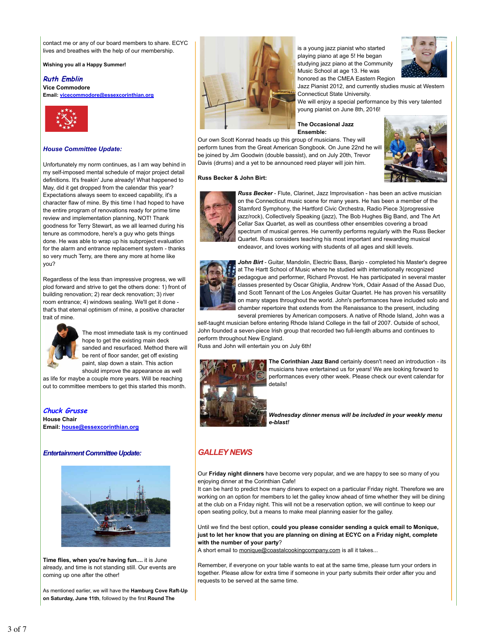contact me or any of our board members to share. ECYC lives and breathes with the help of our membership.

**Wishing you all a Happy Summer!**

### **Ruth Emblin**

**Vice Commodore Email: vicecommodore@essexcorinthian.org**



#### *House Committee Update:*

Unfortunately my norm continues, as I am way behind in my self-imposed mental schedule of major project detail definitions. It's freakin' June already! What happened to May, did it get dropped from the calendar this year? Expectations always seem to exceed capability, it's a character flaw of mine. By this time I had hoped to have the entire program of renovations ready for prime time review and implementation planning, NOT! Thank goodness for Terry Stewart, as we all learned during his tenure as commodore, here's a guy who gets things done. He was able to wrap up his subproject evaluation for the alarm and entrance replacement system - thanks so very much Terry, are there any more at home like you?

Regardless of the less than impressive progress, we will plod forward and strive to get the others done: 1) front of building renovation; 2) rear deck renovation; 3) river room entrance; 4) windows sealing. We'll get it done that's that eternal optimism of mine, a positive character trait of mine.



The most immediate task is my continued hope to get the existing main deck sanded and resurfaced. Method there will be rent of floor sander, get off existing paint, slap down a stain. This action should improve the appearance as well

as life for maybe a couple more years. Will be reaching out to committee members to get this started this month.

**Chuck Grusse House Chair Email: house@essexcorinthian.org**

#### *Entertainment Committee Update:*



**Time flies, when you're having fun....** it is June already, and time is not standing still. Our events are coming up one after the other!

As mentioned earlier, we will have the **Hamburg Cove Raft-Up on Saturday, June 11th**, followed by the first **Round The**



is a young jazz pianist who started playing piano at age 5! He began studying jazz piano at the Community Music School at age 13. He was honored as the CMEA Eastern Region



Jazz Pianist 2012, and currently studies music at Western Connecticut State University.

We will enjoy a special performance by this very talented young pianist on June 8th, 2016!

#### **The Occasional Jazz Ensemble:**

Our own Scott Konrad heads up this group of musicians. They will perform tunes from the Great American Songbook. On June 22nd he will be joined by Jim Goodwin (double bassist), and on July 20th, Trevor Davis (drums) and a yet to be announced reed player will join him.





**Russ Becker & John Birt:**

*Russ Becker* - Flute, Clarinet, Jazz Improvisation - has been an active musician on the Connecticut music scene for many years. He has been a member of the Stamford Symphony, the Hartford Civic Orchestra, Radio Piece 3(progressive jazz/rock), Collectively Speaking (jazz), The Bob Hughes Big Band, and The Art Cellar Sax Quartet, as well as countless other ensembles covering a broad spectrum of musical genres. He currently performs regularly with the Russ Becker Quartet. Russ considers teaching his most important and rewarding musical endeavor, and loves working with students of all ages and skill levels.



*John Birt* - Guitar, Mandolin, Electric Bass, Banjo - completed his Master's degree at The Hartt School of Music where he studied with internationally recognized pedagogue and performer, Richard Provost. He has participated in several master classes presented by Oscar Ghiglia, Andrew York, Odair Assad of the Assad Duo, and Scott Tennant of the Los Angeles Guitar Quartet. He has proven his versatility on many stages throughout the world. John's performances have included solo and chamber repertoire that extends from the Renaissance to the present, including several premieres by American composers. A native of Rhode Island, John was a

self-taught musician before entering Rhode Island College in the fall of 2007. Outside of school, John founded a seven-piece Irish group that recorded two full-length albums and continues to perform throughout New England.

Russ and John will entertain you on July 6th!



**The Corinthian Jazz Band** certainly doesn't need an introduction - its musicians have entertained us for years! We are looking forward to performances every other week. Please check our event calendar for details!

*Wednesday dinner menus will be included in your weekly menu e-blast!*

# *GALLEY NEWS*

Our **Friday night dinners** have become very popular, and we are happy to see so many of you enjoying dinner at the Corinthian Cafe!

It can be hard to predict how many diners to expect on a particular Friday night. Therefore we are working on an option for members to let the galley know ahead of time whether they will be dining at the club on a Friday night. This will not be a reservation option, we will continue to keep our open seating policy, but a means to make meal planning easier for the galley.

Until we find the best option, **could you please consider sending a quick email to Monique, just to let her know that you are planning on dining at ECYC on a Friday night, complete with the number of your party**?

A short email to monique@coastalcookingcompany.com is all it takes...

Remember, if everyone on your table wants to eat at the same time, please turn your orders in together. Please allow for extra time if someone in your party submits their order after you and requests to be served at the same time.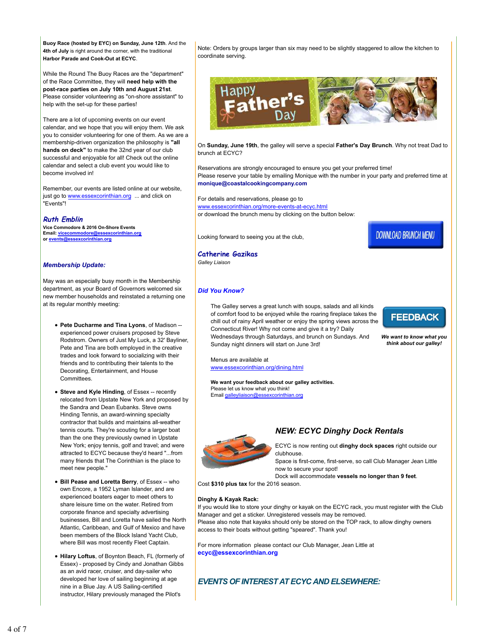**Buoy Race (hosted by EYC) on Sunday, June 12th**. And the **4th of July** is right around the corner, with the traditional **Harbor Parade and Cook-Out at ECYC**.

While the Round The Buoy Races are the "department" of the Race Committee, they will **need help with the post-race parties on July 10th and August 21st**. Please consider volunteering as "on-shore assistant" to help with the set-up for these parties!

There are a lot of upcoming events on our event calendar, and we hope that you will enjoy them. We ask you to consider volunteering for one of them. As we are a membership-driven organization the philosophy is **"all hands on deck"** to make the 32nd year of our club successful and enjoyable for all! Check out the online calendar and select a club event you would like to become involved in!

Remember, our events are listed online at our website, just go to www.essexcorinthian.org ... and click on "Events"!

#### **Ruth Emblin**

**Vice Commodore & 2016 On-Shore Events Email: vicecommodore@essexcorinthian.org or events@essexcorinthian.org**

#### *Membership Update:*

May was an especially busy month in the Membership department, as your Board of Governors welcomed six new member households and reinstated a returning one at its regular monthly meeting:

- **Pete Ducharme and Tina Lyons**, of Madison experienced power cruisers proposed by Steve Rodstrom. Owners of Just My Luck, a 32' Bayliner, Pete and Tina are both employed in the creative trades and look forward to socializing with their friends and to contributing their talents to the Decorating, Entertainment, and House **Committees**
- **Steve and Kyle Hinding**, of Essex -- recently relocated from Upstate New York and proposed by the Sandra and Dean Eubanks. Steve owns Hinding Tennis, an award-winning specialty contractor that builds and maintains all-weather tennis courts. They're scouting for a larger boat than the one they previously owned in Upstate New York; enjoy tennis, golf and travel; and were attracted to ECYC because they'd heard "...from many friends that The Corinthian is the place to meet new people."
- **Bill Pease and Loretta Berry**, of Essex -- who own Encore, a 1952 Lyman Islander, and are experienced boaters eager to meet others to share leisure time on the water. Retired from corporate finance and specialty advertising businesses, Bill and Loretta have sailed the North Atlantic, Caribbean, and Gulf of Mexico and have been members of the Block Island Yacht Club, where Bill was most recently Fleet Captain.
- **Hilary Loftus**, of Boynton Beach, FL (formerly of Essex) - proposed by Cindy and Jonathan Gibbs as an avid racer, cruiser, and day-sailer who developed her love of sailing beginning at age nine in a Blue Jay. A US Sailing-certified instructor, Hilary previously managed the Pilot's

Note: Orders by groups larger than six may need to be slightly staggered to allow the kitchen to coordinate serving.



On **Sunday, June 19th**, the galley will serve a special **Father's Day Brunch**. Why not treat Dad to brunch at ECYC?

Reservations are strongly encouraged to ensure you get your preferred time! Please reserve your table by emailing Monique with the number in your party and preferred time at **monique@coastalcookingcompany.com**

For details and reservations, please go to www.essexcorinthian.org/more-events-at-ecyc.html or download the brunch menu by clicking on the button below:

Looking forward to seeing you at the club,

**Catherine Gazikas** *Galley Liaison*

#### *Did You Know?*

The Galley serves a great lunch with soups, salads and all kinds of comfort food to be enjoyed while the roaring fireplace takes the chill out of rainy April weather or enjoy the spring views across the Connecticut River! Why not come and give it a try? Daily Wednesdays through Saturdays, and brunch on Sundays. And Sunday night dinners will start on June 3rd!



**DOWNLOAD BRUNCH MENU** 

*We want to know what you think about our galley!*

Menus are available at www.essexcorinthian.org/dining.html

**We want your feedback about our galley activities.** Please let us know what you think! Email galleyliaison@essexcorinthian.org

### *NEW: ECYC Dinghy Dock Rentals*



ECYC is now renting out **dinghy dock spaces** right outside our clubhouse.

Space is first-come, first-serve, so call Club Manager Jean Little now to secure your spot!

Dock will accommodate **vessels no longer than 9 feet**.

Cost **\$310 plus tax** for the 2016 season.

#### **Dinghy & Kayak Rack:**

If you would like to store your dinghy or kayak on the ECYC rack, you must register with the Club Manager and get a sticker. Unregistered vessels may be removed. Please also note that kayaks should only be stored on the TOP rack, to allow dinghy owners access to their boats without getting "speared". Thank you!

For more information please contact our Club Manager, Jean Little at **ecyc@essexcorinthian.org**

### *EVENTS OF INTEREST AT ECYC AND ELSEWHERE:*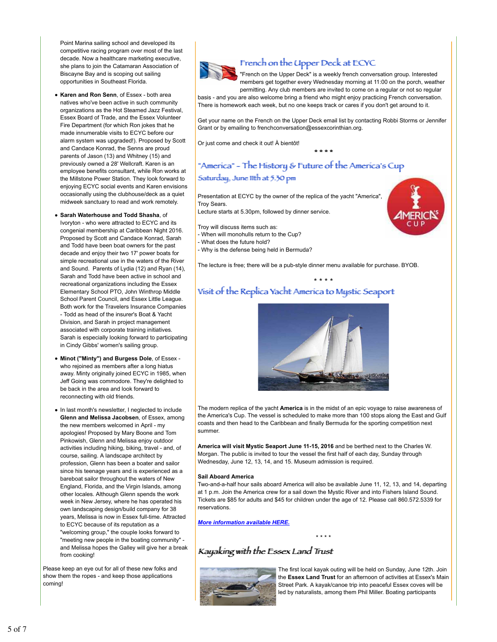Point Marina sailing school and developed its competitive racing program over most of the last decade. Now a healthcare marketing executive, she plans to join the Catamaran Association of Biscayne Bay and is scoping out sailing opportunities in Southeast Florida.

- **Karen and Ron Senn**, of Essex both area natives who've been active in such community organizations as the Hot Steamed Jazz Festival, Essex Board of Trade, and the Essex Volunteer Fire Department (for which Ron jokes that he made innumerable visits to ECYC before our alarm system was upgraded!). Proposed by Scott and Candace Konrad, the Senns are proud parents of Jason (13) and Whitney (15) and previously owned a 28' Wellcraft. Karen is an employee benefits consultant, while Ron works at the Millstone Power Station. They look forward to enjoying ECYC social events and Karen envisions occasionally using the clubhouse/deck as a quiet midweek sanctuary to read and work remotely.
- **Sarah Waterhouse and Todd Shasha**, of Ivoryton - who were attracted to ECYC and its congenial membership at Caribbean Night 2016. Proposed by Scott and Candace Konrad, Sarah and Todd have been boat owners for the past decade and enjoy their two 17' power boats for simple recreational use in the waters of the River and Sound. Parents of Lydia (12) and Ryan (14), Sarah and Todd have been active in school and recreational organizations including the Essex Elementary School PTO, John Winthrop Middle School Parent Council, and Essex Little League. Both work for the Travelers Insurance Companies - Todd as head of the insurer's Boat & Yacht Division, and Sarah in project management associated with corporate training initiatives. Sarah is especially looking forward to participating in Cindy Gibbs' women's sailing group.
- **Minot ("Minty") and Burgess Dole**, of Essex who rejoined as members after a long hiatus away. Minty originally joined ECYC in 1985, when Jeff Going was commodore. They're delighted to be back in the area and look forward to reconnecting with old friends.
- In last month's newsletter, I neglected to include **Glenn and Melissa Jacobsen**, of Essex, among the new members welcomed in April - my apologies! Proposed by Mary Boone and Tom Pinkowish, Glenn and Melissa enjoy outdoor activities including hiking, biking, travel - and, of course, sailing. A landscape architect by profession, Glenn has been a boater and sailor since his teenage years and is experienced as a bareboat sailor throughout the waters of New England, Florida, and the Virgin Islands, among other locales. Although Glenn spends the work week in New Jersey, where he has operated his own landscaping design/build company for 38 years, Melissa is now in Essex full-time. Attracted to ECYC because of its reputation as a "welcoming group," the couple looks forward to "meeting new people in the boating community" and Melissa hopes the Galley will give her a break from cooking!

Please keep an eye out for all of these new folks and show them the ropes - and keep those applications coming!

# French on the Upper Deck at ECYC

"French on the Upper Deck" is a weekly french conversation group. Interested members get together every Wednesday morning at 11:00 on the porch, weather permitting. Any club members are invited to come on a regular or not so regular basis - and you are also welcome bring a friend who might enjoy practicing French conversation.

There is homework each week, but no one keeps track or cares if you don't get around to it.

Get your name on the French on the Upper Deck email list by contacting Robbi Storms or Jennifer Grant or by emailing to frenchconversation@essexcorinthian.org.

\*\* \*\* \*\* \*\*

Or just come and check it out! À bientôt!

# "America" - The History & Future of the America's Cup

### Sattuurdaay, Juine 111th at 5.30 piin

Presentation at ECYC by the owner of the replica of the yacht "America", Troy Sears.

Lecture starts at 5.30pm, followed by dinner service.

Troy will discuss items such as:

- When will monohulls return to the Cup?
- What does the future hold?
- Why is the defense being held in Bermuda?

The lecture is free; there will be a pub-style dinner menu available for purchase. BYOB.

# Visit of the Repliica Yacht America to Mystic Seaport



\* \* \* \*

The modern replica of the yacht **America** is in the midst of an epic voyage to raise awareness of the America's Cup. The vessel is scheduled to make more than 100 stops along the East and Gulf coasts and then head to the Caribbean and finally Bermuda for the sporting competition next summer.

**America will visit Mystic Seaport June 11-15, 2016** and be berthed next to the Charles W. Morgan. The public is invited to tour the vessel the first half of each day, Sunday through Wednesday, June 12, 13, 14, and 15. Museum admission is required.

#### **Sail Aboard America**

Two-and-a-half hour sails aboard America will also be available June 11, 12, 13, and 14, departing at 1 p.m. Join the America crew for a sail down the Mystic River and into Fishers Island Sound. Tickets are \$85 for adults and \$45 for children under the age of 12. Please call 860.572.5339 for reservations.

\* \* \* \*

*More information available HERE.*

# Kaujakiing with the Essex Land Trust



The first local kayak outing will be held on Sunday, June 12th. Join the **Essex Land Trust** for an afternoon of activities at Essex's Main Street Park. A kayak/canoe trip into peaceful Essex coves will be led by naturalists, among them Phil Miller. Boating participants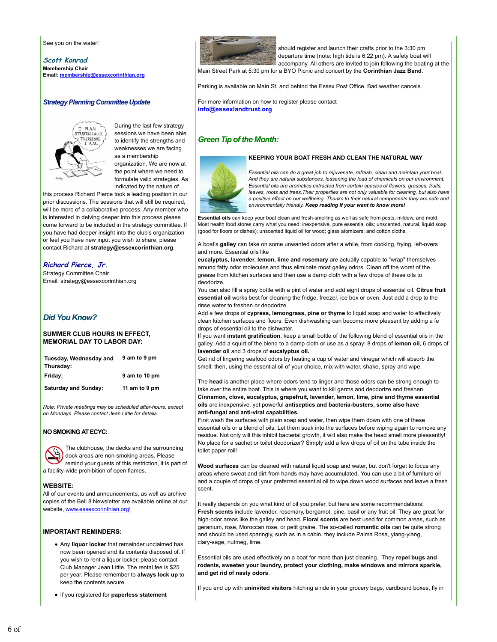See you on the water!

**Scott Konrad Membership Chair Email: membership@essexcorinthian.org**

#### *Strategy Planning Committee Update*



During the last few strategy sessions we have been able to identify the strengths and weaknesses we are facing as a membership organization. We are now at

the point where we need to formulate valid strategies. As indicated by the nature of

this process Richard Pierce took a leading position in our prior discussions. The sessions that will still be required, will be more of a collaborative process. Any member who is interested in delving deeper into this process please come forward to be included in the strategy committee. If you have had deeper insight into the club's organization or feel you have new input you wish to share, please contact Richard at **strategy@essexcorinthian.org**.

### **Richard Pierce, Jr.**

Strategy Committee Chair Email: strategy@essexcorinthian.org

## *Did You Know?*

#### **SUMMER CLUB HOURS IN EFFECT, MEMORIAL DAY TO LABOR DAY:**

| Tuesday, Wednesday and<br>Thursday: | 9 am to 9 pm  |
|-------------------------------------|---------------|
| Friday:                             | 9 am to 10 pm |
| <b>Saturday and Sunday:</b>         | 11 am to 9 pm |

*Note: Private meetings may be scheduled after-hours, except RQMondays. Please contact Jean Little for details.*

#### **NO SMOKING AT ECYC:**



The clubhouse, the decks and the surrounding dock areas are non-smoking areas. Please remind your guests of this restriction, it is part of a facility-wide prohibition of open flames.

### **WEBSITE:**

All of our events and announcements, as well as archive copies of the Bell 8 Newsletter are available online at our website, www.essexcorinthian.org!

#### **IMPORTANT REMINDERS:**

- Any **liquor locker** that remainder unclaimed has now been opened and its contents disposed of. If you wish to rent a liquor locker, please contact Club Manager Jean Little. The rental fee is \$25 per year. Please remember to **always lock up** to keep the contents secure.
- If you registered for **paperless statement**



should register and launch their crafts prior to the 3:30 pm departure time (note: high tide is 6:22 pm). A safety boat will accompany. All others are invited to join following the boating at the

Main Street Park at 5:30 pm for a BYO Picnic and concert by the **Corinthian Jazz Band**.

Parking is available on Main St. and behind the Essex Post Office. Bad weather cancels.

For more information on how to register please contact **info@essexlandtrust.org**

## *Green Tip of the Month:*



#### **KEEPING YOUR BOAT FRESH AND CLEAN THE NATURAL WAY**

*Essential oils can do a great job to rejuvenate, refresh, clean and maintain your boat. And they are natural substances, lessening the load of chemicals on our environment. Essential oils are aromatics extracted from certain species of flowers, grasses, fruits, leaves, roots and trees.Their properties are not only valuable for cleaning, but also have a positive effect on our wellbeing. Thanks to their natural components they are safe and environmentally friendly. Keep reading if your want to know more!*

**Essential oils** can keep your boat clean and fresh-smelling as well as safe from pests, mildew, and mold. Most health food stores carry what you need: inexpensive, pure essential oils; unscented, natural, liquid soap (good for floors or dishes); unscented liquid oil for wood; glass atomizers; and cotton cloths.

A boat's **galley** can take on some unwanted odors after a while, from cooking, frying, left-overs and more. Essential oils like

**eucalyptus, lavender, lemon, lime and rosemary** are actually capable to "wrap" themselves around fatty odor molecules and thus eliminate most galley odors. Clean off the worst of the grease from kitchen surfaces and then use a damp cloth with a few drops of these oils to deodorize.

You can also fill a spray bottle with a pint of water and add eight drops of essential oil. **Citrus fruit essential oil** works best for cleaning the fridge, freezer, ice box or oven. Just add a drop to the rinse water to freshen or deodorize.

Add a few drops of **cypress, lemongrass, pine or thyme** to liquid soap and water to effectively clean kitchen surfaces and floors. Even dishwashing can become more pleasant by adding a fe drops of essential oil to the dishwater.

If you want **instant gratification**, keep a small bottle of the following blend of essential oils in the galley. Add a squirt of the blend to a damp cloth or use as a spray: 8 drops of **lemon oil**, 6 drops of **lavender oil** and 3 drops of **eucalyptus oil.**

Get rid of lingering seafood odors by heating a cup of water and vinegar which will absorb the smell; then, using the essential oil of your choice, mix with water, shake, spray and wipe.

The **head** is another place where odors tend to linger and those odors can be strong enough to take over the entire boat. This is where you want to kill germs and deodorize and freshen. **Cinnamon, clove, eucalyptus, grapefruit, lavender, lemon, lime, pine and thyme essential oils** are inexpensive. yet powerful **antiseptics and bacteria-busters, some also have anti-fungal and anti-viral capabilities.** 

First wash the surfaces with plain soap and water, then wipe them down with one of these essential oils or a blend of oils. Let them soak into the surfaces before wiping again to remove any residue. Not only will this inhibit bacterial growth, it will also make the head smell more pleasantly! No place for a sachet or toilet deodorizer? Simply add a few drops of oil on the tube inside the toilet paper roll!

**Wood surfaces** can be cleaned with natural liquid soap and water, but don't forget to focus any areas where sweat and dirt from hands may have accumulated. You can use a bit of furniture oil and a couple of drops of your preferred essential oil to wipe down wood surfaces and leave a fresh scent.

It really depends on you what kind of oil you prefer, but here are some recommendations: **Fresh scents** include lavender, rosemary, bergamot, pine, basil or any fruit oil. They are great for high-odor areas like the galley and head. **Floral scents** are best used for common areas, such as geranium, rose, Moroccan rose, or petit graine. The so-called **romantic oils** can be quite strong and should be used sparingly, such as in a cabin, they include Palma Rosa, ylang-ylang, clary-sage, nutmeg, lime.

Essential oils are used effectively on a boat for more than just cleaning. They **repel bugs and rodents, sweeten your laundry, protect your clothing, make windows and mirrors sparkle, and get rid of nasty odors**.

If you end up with **uninvited visitors** hitching a ride in your grocery bags, cardboard boxes, fly in